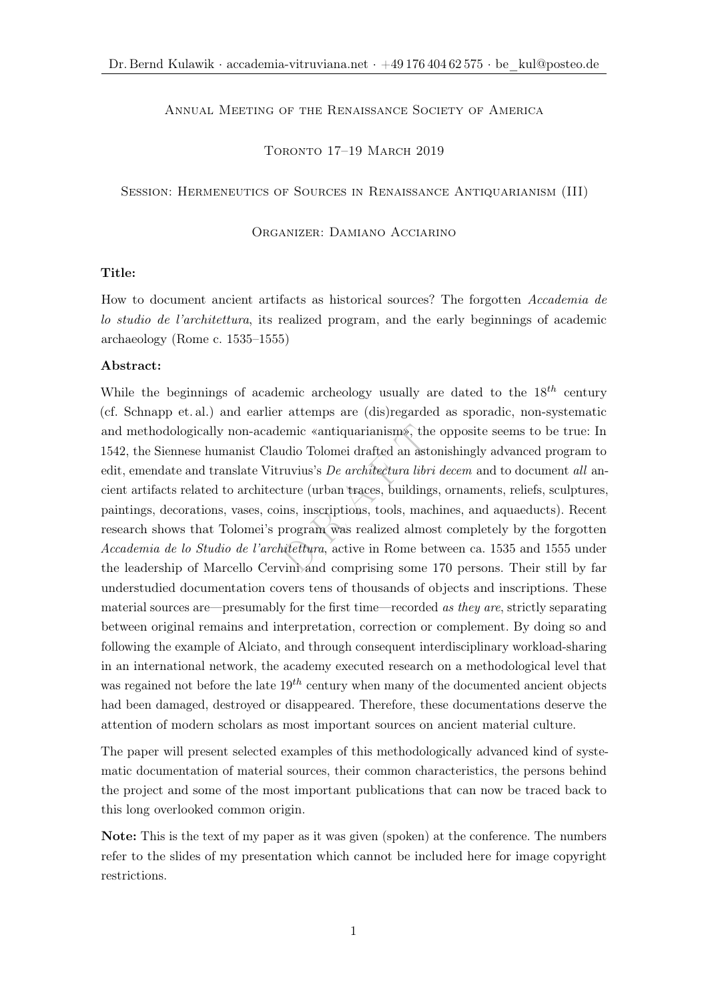## ANNUAL MEETING OF THE RENAISSANCE SOCIETY OF AMERICA

Toronto 17–19 March 2019

Session: Hermeneutics of Sources in Renaissance Antiquarianism (III)

Organizer: Damiano Acciarino

## Title:

How to document ancient artifacts as historical sources? The forgotten Accademia de lo studio de l'architettura, its realized program, and the early beginnings of academic archaeology (Rome c. 1535–1555)

## Abstract:

emic «antiquarianism», the<br>udio Tolomei drafted an astor<br>ruvius's *De architectura libri*<br>ture (urban traces, buildings,<br>ins, inscriptions, tools, mach<br>program was realized almost<br>intettura, active in Rome bet<br>vini and com While the beginnings of academic archeology usually are dated to the  $18^{th}$  century (cf. Schnapp et. al.) and earlier attemps are (dis)regarded as sporadic, non-systematic and methodologically non-academic «antiquarianism», the opposite seems to be true: In 1542, the Siennese humanist Claudio Tolomei drafted an astonishingly advanced program to edit, emendate and translate Vitruvius's De architectura libri decem and to document all ancient artifacts related to architecture (urban traces, buildings, ornaments, reliefs, sculptures, paintings, decorations, vases, coins, inscriptions, tools, machines, and aquaeducts). Recent research shows that Tolomei's program was realized almost completely by the forgotten Accademia de lo Studio de l'architettura, active in Rome between ca. 1535 and 1555 under the leadership of Marcello Cervini and comprising some 170 persons. Their still by far understudied documentation covers tens of thousands of objects and inscriptions. These material sources are—presumably for the first time—recorded as they are, strictly separating between original remains and interpretation, correction or complement. By doing so and following the example of Alciato, and through consequent interdisciplinary workload-sharing in an international network, the academy executed research on a methodological level that was regained not before the late  $19^{th}$  century when many of the documented ancient objects had been damaged, destroyed or disappeared. Therefore, these documentations deserve the attention of modern scholars as most important sources on ancient material culture.

The paper will present selected examples of this methodologically advanced kind of systematic documentation of material sources, their common characteristics, the persons behind the project and some of the most important publications that can now be traced back to this long overlooked common origin.

Note: This is the text of my paper as it was given (spoken) at the conference. The numbers refer to the slides of my presentation which cannot be included here for image copyright restrictions.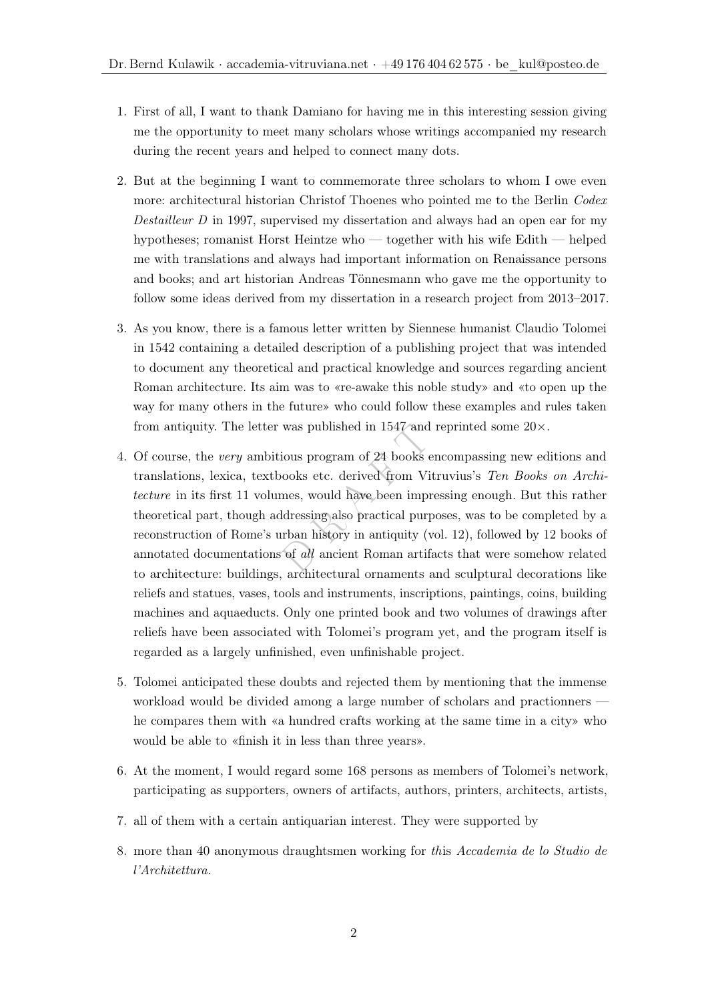- 1. First of all, I want to thank Damiano for having me in this interesting session giving me the opportunity to meet many scholars whose writings accompanied my research during the recent years and helped to connect many dots.
- 2. But at the beginning I want to commemorate three scholars to whom I owe even more: architectural historian Christof Thoenes who pointed me to the Berlin Codex Destailleur D in 1997, supervised my dissertation and always had an open ear for my hypotheses; romanist Horst Heintze who — together with his wife Edith — helped me with translations and always had important information on Renaissance persons and books; and art historian Andreas Tönnesmann who gave me the opportunity to follow some ideas derived from my dissertation in a research project from 2013–2017.
- 3. As you know, there is a famous letter written by Siennese humanist Claudio Tolomei in 1542 containing a detailed description of a publishing project that was intended to document any theoretical and practical knowledge and sources regarding ancient Roman architecture. Its aim was to «re-awake this noble study» and «to open up the way for many others in the future» who could follow these examples and rules taken from antiquity. The letter was published in  $1547$  and reprinted some  $20 \times$ .
- was published in 1547 and r<br>ious program of 24 books en<br>ooks etc. derived from Vitr<br>mes, would have been impre<br>idressing also practical purpo<br>urban history in antiquity (vo<br>of *all* ancient Roman artiface 4. Of course, the very ambitious program of 24 books encompassing new editions and translations, lexica, textbooks etc. derived from Vitruvius's Ten Books on Architecture in its first 11 volumes, would have been impressing enough. But this rather theoretical part, though addressing also practical purposes, was to be completed by a reconstruction of Rome's urban history in antiquity (vol. 12), followed by 12 books of annotated documentations of all ancient Roman artifacts that were somehow related to architecture: buildings, architectural ornaments and sculptural decorations like reliefs and statues, vases, tools and instruments, inscriptions, paintings, coins, building machines and aquaeducts. Only one printed book and two volumes of drawings after reliefs have been associated with Tolomei's program yet, and the program itself is regarded as a largely unfinished, even unfinishable project.
- 5. Tolomei anticipated these doubts and rejected them by mentioning that the immense workload would be divided among a large number of scholars and practionners he compares them with «a hundred crafts working at the same time in a city» who would be able to «finish it in less than three years».
- 6. At the moment, I would regard some 168 persons as members of Tolomei's network, participating as supporters, owners of artifacts, authors, printers, architects, artists,
- 7. all of them with a certain antiquarian interest. They were supported by
- 8. more than 40 anonymous draughtsmen working for this Accademia de lo Studio de l'Architettura.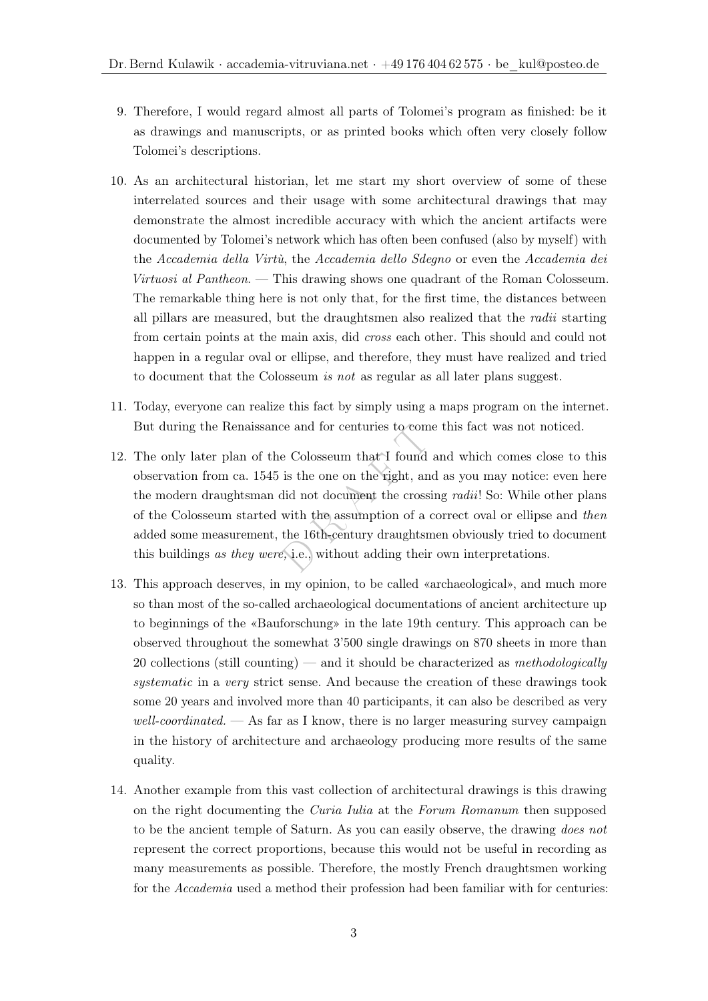- 9. Therefore, I would regard almost all parts of Tolomei's program as finished: be it as drawings and manuscripts, or as printed books which often very closely follow Tolomei's descriptions.
- 10. As an architectural historian, let me start my short overview of some of these interrelated sources and their usage with some architectural drawings that may demonstrate the almost incredible accuracy with which the ancient artifacts were documented by Tolomei's network which has often been confused (also by myself) with the Accademia della Virtù, the Accademia dello Sdegno or even the Accademia dei Virtuosi al Pantheon. — This drawing shows one quadrant of the Roman Colosseum. The remarkable thing here is not only that, for the first time, the distances between all pillars are measured, but the draughtsmen also realized that the radii starting from certain points at the main axis, did cross each other. This should and could not happen in a regular oval or ellipse, and therefore, they must have realized and tried to document that the Colosseum is not as regular as all later plans suggest.
- 11. Today, everyone can realize this fact by simply using a maps program on the internet. But during the Renaissance and for centuries to come this fact was not noticed.
- ce and for centuries to come<br>e Colosseum that I found a<br>is the one on the right, and<br>id not document the crossin<br>with the assumption of a cc<br>the 16th-century draughtsme<br>e, i.e., without adding their o 12. The only later plan of the Colosseum that I found and which comes close to this observation from ca. 1545 is the one on the right, and as you may notice: even here the modern draughtsman did not document the crossing *radii*! So: While other plans of the Colosseum started with the assumption of a correct oval or ellipse and then added some measurement, the 16th-century draughtsmen obviously tried to document this buildings as they were, i.e., without adding their own interpretations.
- 13. This approach deserves, in my opinion, to be called «archaeological», and much more so than most of the so-called archaeological documentations of ancient architecture up to beginnings of the «Bauforschung» in the late 19th century. This approach can be observed throughout the somewhat 3'500 single drawings on 870 sheets in more than 20 collections (still counting) — and it should be characterized as *methodologically* systematic in a very strict sense. And because the creation of these drawings took some 20 years and involved more than 40 participants, it can also be described as very  $well-coordinated.$   $\longrightarrow$  As far as I know, there is no larger measuring survey campaign in the history of architecture and archaeology producing more results of the same quality.
- 14. Another example from this vast collection of architectural drawings is this drawing on the right documenting the Curia Iulia at the Forum Romanum then supposed to be the ancient temple of Saturn. As you can easily observe, the drawing does not represent the correct proportions, because this would not be useful in recording as many measurements as possible. Therefore, the mostly French draughtsmen working for the Accademia used a method their profession had been familiar with for centuries: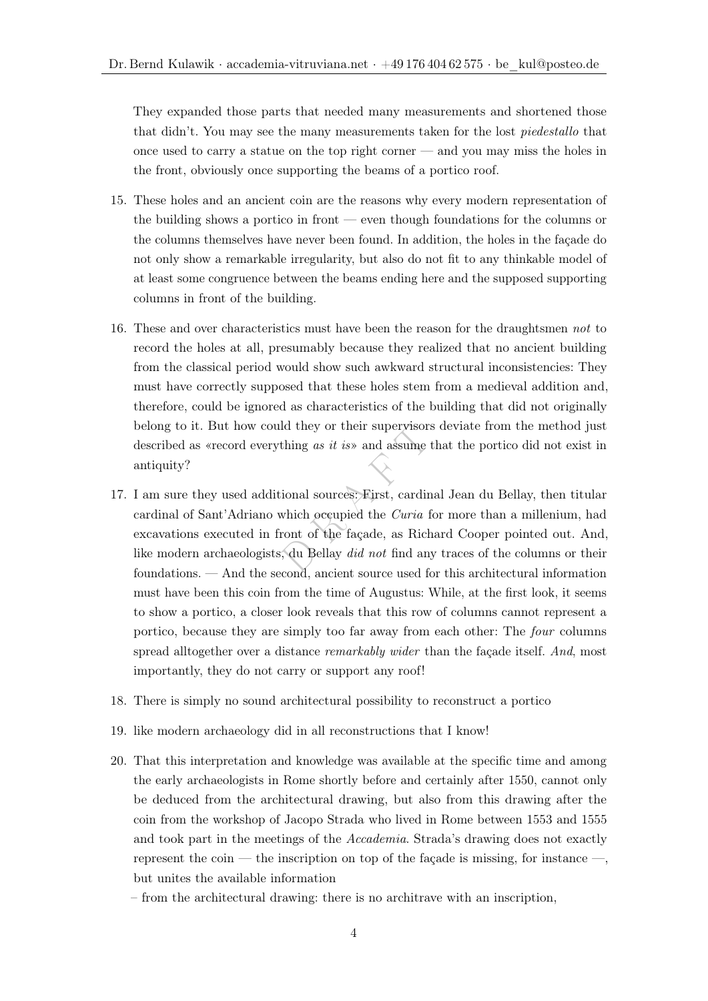They expanded those parts that needed many measurements and shortened those that didn't. You may see the many measurements taken for the lost piedestallo that once used to carry a statue on the top right corner — and you may miss the holes in the front, obviously once supporting the beams of a portico roof.

- 15. These holes and an ancient coin are the reasons why every modern representation of the building shows a portico in front — even though foundations for the columns or the columns themselves have never been found. In addition, the holes in the façade do not only show a remarkable irregularity, but also do not fit to any thinkable model of at least some congruence between the beams ending here and the supposed supporting columns in front of the building.
- 16. These and over characteristics must have been the reason for the draughtsmen not to record the holes at all, presumably because they realized that no ancient building from the classical period would show such awkward structural inconsistencies: They must have correctly supposed that these holes stem from a medieval addition and, therefore, could be ignored as characteristics of the building that did not originally belong to it. But how could they or their supervisors deviate from the method just described as «record everything as it is» and assume that the portico did not exist in antiquity?
- Id they or their supervisors<br>thing as it is and assume the<br>ional sources: First, cardina<br>which occupied the *Curia* for<br>ront of the façade, as Richa<br>du Bellay did not find any 17. I am sure they used additional sources: First, cardinal Jean du Bellay, then titular cardinal of Sant'Adriano which occupied the Curia for more than a millenium, had excavations executed in front of the façade, as Richard Cooper pointed out. And, like modern archaeologists, du Bellay did not find any traces of the columns or their foundations. — And the second, ancient source used for this architectural information must have been this coin from the time of Augustus: While, at the first look, it seems to show a portico, a closer look reveals that this row of columns cannot represent a portico, because they are simply too far away from each other: The four columns spread alltogether over a distance *remarkably wider* than the façade itself. And, most importantly, they do not carry or support any roof!
- 18. There is simply no sound architectural possibility to reconstruct a portico
- 19. like modern archaeology did in all reconstructions that I know!
- 20. That this interpretation and knowledge was available at the specific time and among the early archaeologists in Rome shortly before and certainly after 1550, cannot only be deduced from the architectural drawing, but also from this drawing after the coin from the workshop of Jacopo Strada who lived in Rome between 1553 and 1555 and took part in the meetings of the Accademia. Strada's drawing does not exactly represent the coin — the inscription on top of the façade is missing, for instance —, but unites the available information
	- from the architectural drawing: there is no architrave with an inscription,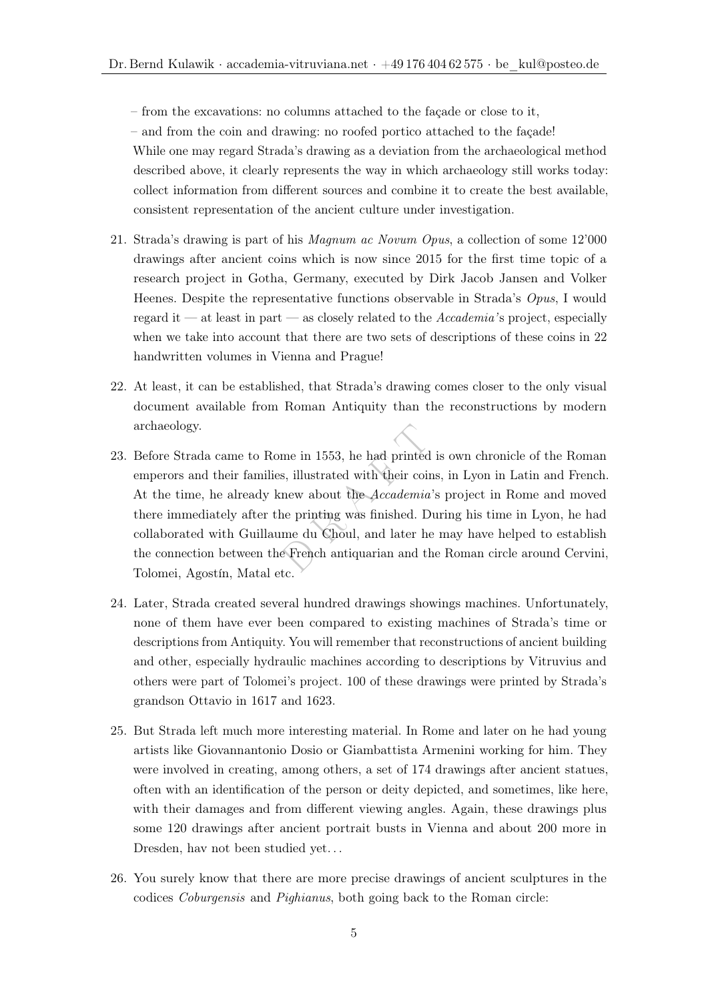– from the excavations: no columns attached to the façade or close to it,

– and from the coin and drawing: no roofed portico attached to the façade! While one may regard Strada's drawing as a deviation from the archaeological method described above, it clearly represents the way in which archaeology still works today: collect information from different sources and combine it to create the best available, consistent representation of the ancient culture under investigation.

- 21. Strada's drawing is part of his Magnum ac Novum Opus, a collection of some 12'000 drawings after ancient coins which is now since 2015 for the first time topic of a research project in Gotha, Germany, executed by Dirk Jacob Jansen and Volker Heenes. Despite the representative functions observable in Strada's Opus, I would regard it — at least in part — as closely related to the  $Accademia$ 's project, especially when we take into account that there are two sets of descriptions of these coins in 22 handwritten volumes in Vienna and Prague!
- 22. At least, it can be established, that Strada's drawing comes closer to the only visual document available from Roman Antiquity than the reconstructions by modern archaeology.
- me in 1553, he had printed is, illustrated with their coins<br>new about the *Accademia*'s<br>ne printing was finished. Du<br>me du Choul, and later he<br>e French antiquarian and the 23. Before Strada came to Rome in 1553, he had printed is own chronicle of the Roman emperors and their families, illustrated with their coins, in Lyon in Latin and French. At the time, he already knew about the Accademia's project in Rome and moved there immediately after the printing was finished. During his time in Lyon, he had collaborated with Guillaume du Choul, and later he may have helped to establish the connection between the French antiquarian and the Roman circle around Cervini, Tolomei, Agostín, Matal etc.
- 24. Later, Strada created several hundred drawings showings machines. Unfortunately, none of them have ever been compared to existing machines of Strada's time or descriptions from Antiquity. You will remember that reconstructions of ancient building and other, especially hydraulic machines according to descriptions by Vitruvius and others were part of Tolomei's project. 100 of these drawings were printed by Strada's grandson Ottavio in 1617 and 1623.
- 25. But Strada left much more interesting material. In Rome and later on he had young artists like Giovannantonio Dosio or Giambattista Armenini working for him. They were involved in creating, among others, a set of 174 drawings after ancient statues, often with an identification of the person or deity depicted, and sometimes, like here, with their damages and from different viewing angles. Again, these drawings plus some 120 drawings after ancient portrait busts in Vienna and about 200 more in Dresden, hav not been studied yet. . .
- 26. You surely know that there are more precise drawings of ancient sculptures in the codices Coburgensis and Pighianus, both going back to the Roman circle: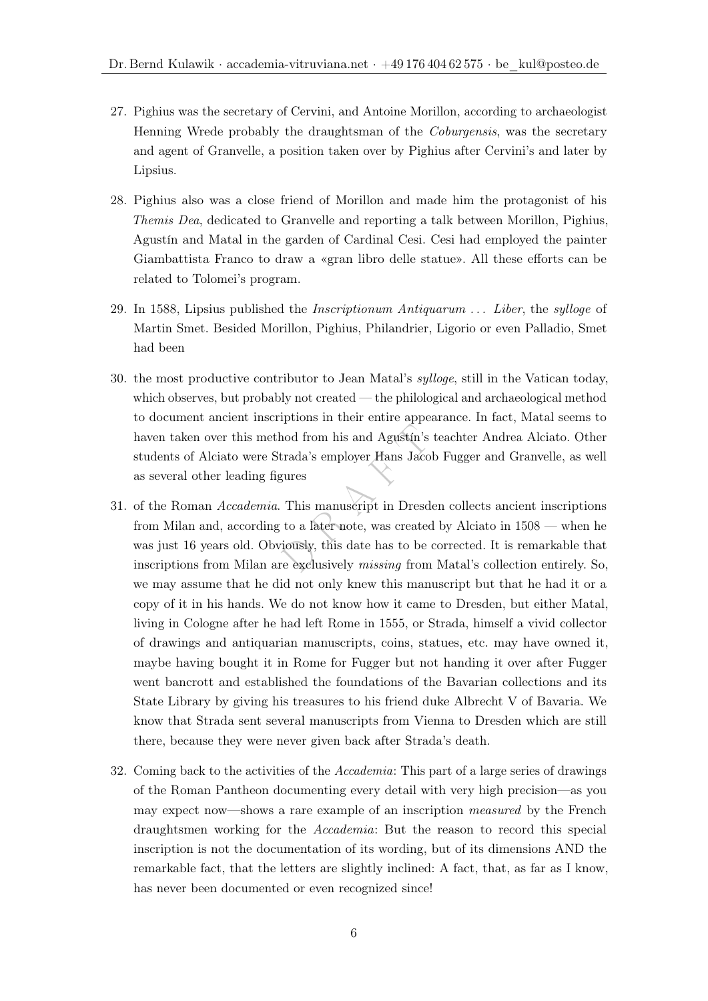- 27. Pighius was the secretary of Cervini, and Antoine Morillon, according to archaeologist Henning Wrede probably the draughtsman of the Coburgensis, was the secretary and agent of Granvelle, a position taken over by Pighius after Cervini's and later by Lipsius.
- 28. Pighius also was a close friend of Morillon and made him the protagonist of his Themis Dea, dedicated to Granvelle and reporting a talk between Morillon, Pighius, Agustín and Matal in the garden of Cardinal Cesi. Cesi had employed the painter Giambattista Franco to draw a «gran libro delle statue». All these efforts can be related to Tolomei's program.
- 29. In 1588, Lipsius published the *Inscriptionum Antiquarum ... Liber*, the *sylloge* of Martin Smet. Besided Morillon, Pighius, Philandrier, Ligorio or even Palladio, Smet had been
- 30. the most productive contributor to Jean Matal's sylloge, still in the Vatican today, which observes, but probably not created — the philological and archaeological method to document ancient inscriptions in their entire appearance. In fact, Matal seems to haven taken over this method from his and Agustín's teachter Andrea Alciato. Other students of Alciato were Strada's employer Hans Jacob Fugger and Granvelle, as well as several other leading figures
- nod from his and Agustín's to<br>trada's employer Hans Jacob<br>gures<br>This manuscript in Dresder<br>to a later note, was created<br>iously, this date has to be coments<br>reexclusively missing from l 31. of the Roman Accademia. This manuscript in Dresden collects ancient inscriptions from Milan and, according to a later note, was created by Alciato in 1508 — when he was just 16 years old. Obviously, this date has to be corrected. It is remarkable that inscriptions from Milan are exclusively missing from Matal's collection entirely. So, we may assume that he did not only knew this manuscript but that he had it or a copy of it in his hands. We do not know how it came to Dresden, but either Matal, living in Cologne after he had left Rome in 1555, or Strada, himself a vivid collector of drawings and antiquarian manuscripts, coins, statues, etc. may have owned it, maybe having bought it in Rome for Fugger but not handing it over after Fugger went bancrott and established the foundations of the Bavarian collections and its State Library by giving his treasures to his friend duke Albrecht V of Bavaria. We know that Strada sent several manuscripts from Vienna to Dresden which are still there, because they were never given back after Strada's death.
- 32. Coming back to the activities of the Accademia: This part of a large series of drawings of the Roman Pantheon documenting every detail with very high precision—as you may expect now—shows a rare example of an inscription measured by the French draughtsmen working for the Accademia: But the reason to record this special inscription is not the documentation of its wording, but of its dimensions AND the remarkable fact, that the letters are slightly inclined: A fact, that, as far as I know, has never been documented or even recognized since!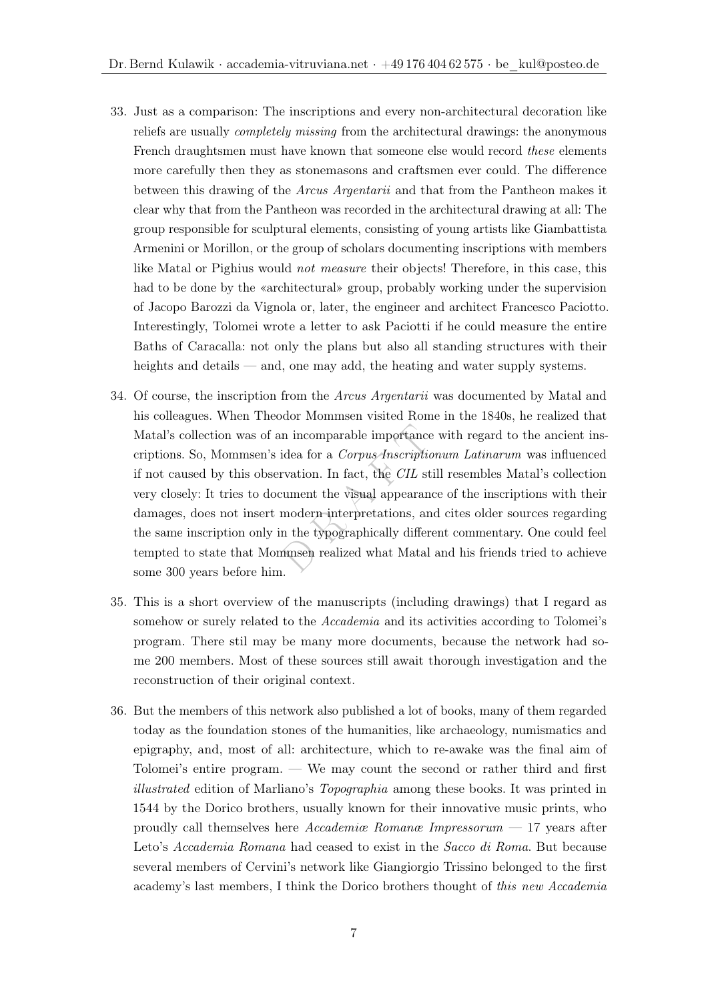- 33. Just as a comparison: The inscriptions and every non-architectural decoration like reliefs are usually completely missing from the architectural drawings: the anonymous French draughtsmen must have known that someone else would record these elements more carefully then they as stonemasons and craftsmen ever could. The difference between this drawing of the Arcus Argentarii and that from the Pantheon makes it clear why that from the Pantheon was recorded in the architectural drawing at all: The group responsible for sculptural elements, consisting of young artists like Giambattista Armenini or Morillon, or the group of scholars documenting inscriptions with members like Matal or Pighius would not measure their objects! Therefore, in this case, this had to be done by the «architectural» group, probably working under the supervision of Jacopo Barozzi da Vignola or, later, the engineer and architect Francesco Paciotto. Interestingly, Tolomei wrote a letter to ask Paciotti if he could measure the entire Baths of Caracalla: not only the plans but also all standing structures with their heights and details — and, one may add, the heating and water supply systems.
- In incomparable importance videa for a *Corpus Inscription*<br>rvation. In fact, the *CIL* stil<br>rument the visual appearance<br>modern interpretations, and<br>n the typographically different<br>minimized what Matal a 34. Of course, the inscription from the Arcus Argentarii was documented by Matal and his colleagues. When Theodor Mommsen visited Rome in the 1840s, he realized that Matal's collection was of an incomparable importance with regard to the ancient inscriptions. So, Mommsen's idea for a Corpus Inscriptionum Latinarum was influenced if not caused by this observation. In fact, the CIL still resembles Matal's collection very closely: It tries to document the visual appearance of the inscriptions with their damages, does not insert modern interpretations, and cites older sources regarding the same inscription only in the typographically different commentary. One could feel tempted to state that Mommsen realized what Matal and his friends tried to achieve some 300 years before him.
- 35. This is a short overview of the manuscripts (including drawings) that I regard as somehow or surely related to the *Accademia* and its activities according to Tolomei's program. There stil may be many more documents, because the network had some 200 members. Most of these sources still await thorough investigation and the reconstruction of their original context.
- 36. But the members of this network also published a lot of books, many of them regarded today as the foundation stones of the humanities, like archaeology, numismatics and epigraphy, and, most of all: architecture, which to re-awake was the final aim of Tolomei's entire program. — We may count the second or rather third and first illustrated edition of Marliano's Topographia among these books. It was printed in 1544 by the Dorico brothers, usually known for their innovative music prints, who proudly call themselves here Accademiæ Romanæ Impressorum — 17 years after Leto's Accademia Romana had ceased to exist in the Sacco di Roma. But because several members of Cervini's network like Giangiorgio Trissino belonged to the first academy's last members, I think the Dorico brothers thought of this new Accademia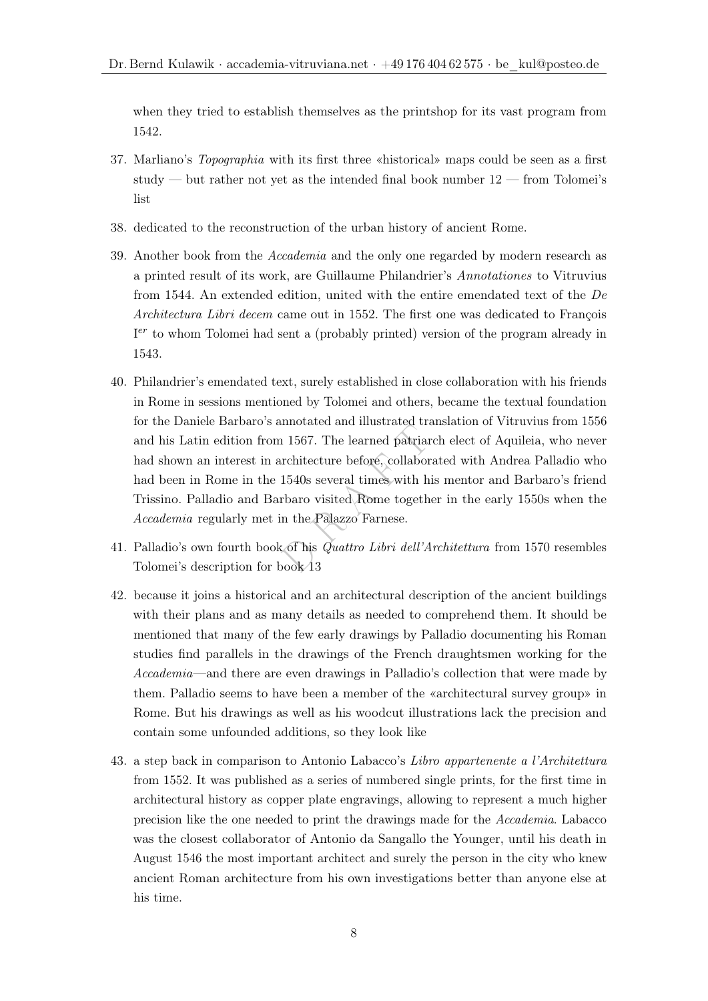when they tried to establish themselves as the printshop for its vast program from 1542.

- 37. Marliano's Topographia with its first three «historical» maps could be seen as a first study — but rather not yet as the intended final book number  $12$  — from Tolomei's list
- 38. dedicated to the reconstruction of the urban history of ancient Rome.
- 39. Another book from the Accademia and the only one regarded by modern research as a printed result of its work, are Guillaume Philandrier's Annotationes to Vitruvius from 1544. An extended edition, united with the entire emendated text of the De Architectura Libri decem came out in 1552. The first one was dedicated to François I<sup>er</sup> to whom Tolomei had sent a (probably printed) version of the program already in 1543.
- $\frac{1}{1567}$ . The learned patriarch in 1567. The learned patriarch<br>rchitecture before, collabora<br>1540s several times with his<br>rbaro visited Rome together<br>n the Palazzo Farnese.<br>c of his *Quattro Libri dell'Are*<br>pook 13 40. Philandrier's emendated text, surely established in close collaboration with his friends in Rome in sessions mentioned by Tolomei and others, became the textual foundation for the Daniele Barbaro's annotated and illustrated translation of Vitruvius from 1556 and his Latin edition from 1567. The learned patriarch elect of Aquileia, who never had shown an interest in architecture before, collaborated with Andrea Palladio who had been in Rome in the 1540s several times with his mentor and Barbaro's friend Trissino. Palladio and Barbaro visited Rome together in the early 1550s when the Accademia regularly met in the Palazzo Farnese.
- 41. Palladio's own fourth book of his Quattro Libri dell'Architettura from 1570 resembles Tolomei's description for book 13
- 42. because it joins a historical and an architectural description of the ancient buildings with their plans and as many details as needed to comprehend them. It should be mentioned that many of the few early drawings by Palladio documenting his Roman studies find parallels in the drawings of the French draughtsmen working for the Accademia—and there are even drawings in Palladio's collection that were made by them. Palladio seems to have been a member of the «architectural survey group» in Rome. But his drawings as well as his woodcut illustrations lack the precision and contain some unfounded additions, so they look like
- 43. a step back in comparison to Antonio Labacco's Libro appartenente a l'Architettura from 1552. It was published as a series of numbered single prints, for the first time in architectural history as copper plate engravings, allowing to represent a much higher precision like the one needed to print the drawings made for the Accademia. Labacco was the closest collaborator of Antonio da Sangallo the Younger, until his death in August 1546 the most important architect and surely the person in the city who knew ancient Roman architecture from his own investigations better than anyone else at his time.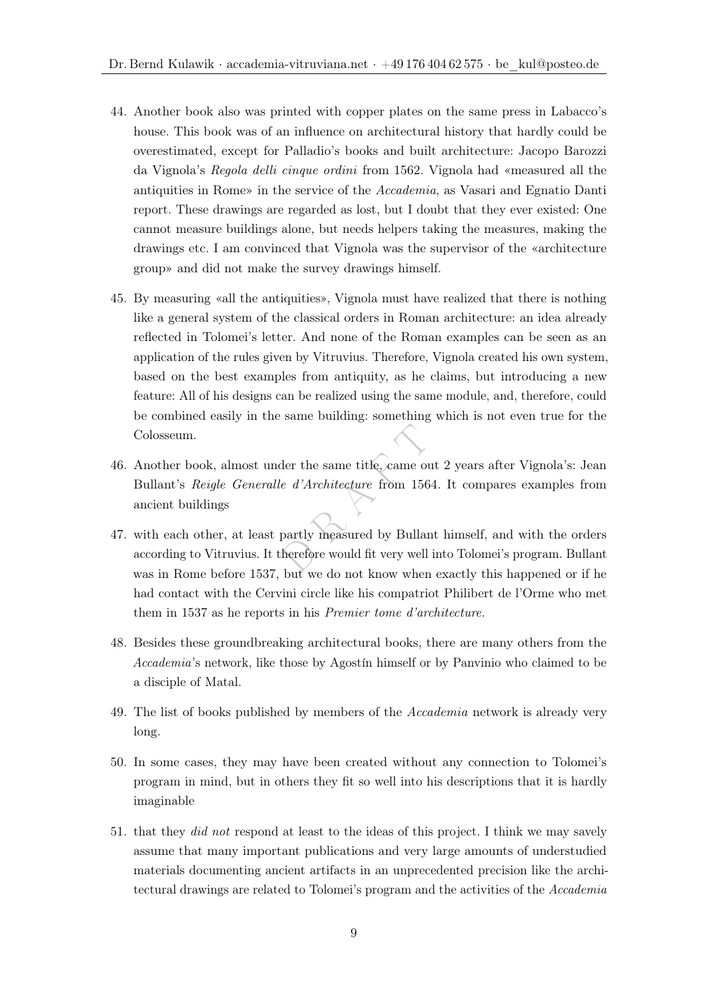- 44. Another book also was printed with copper plates on the same press in Labacco's house. This book was of an influence on architectural history that hardly could be overestimated, except for Palladio's books and built architecture: Jacopo Barozzi da Vignola's Regola delli cinque ordini from 1562. Vignola had «measured all the antiquities in Rome» in the service of the Accademia, as Vasari and Egnatio Danti report. These drawings are regarded as lost, but I doubt that they ever existed: One cannot measure buildings alone, but needs helpers taking the measures, making the drawings etc. I am convinced that Vignola was the supervisor of the «architecture group» and did not make the survey drawings himself.
- 45. By measuring «all the antiquities», Vignola must have realized that there is nothing like a general system of the classical orders in Roman architecture: an idea already reflected in Tolomei's letter. And none of the Roman examples can be seen as an application of the rules given by Vitruvius. Therefore, Vignola created his own system, based on the best examples from antiquity, as he claims, but introducing a new feature: All of his designs can be realized using the same module, and, therefore, could be combined easily in the same building: something which is not even true for the Colosseum.
- der the same title, came out<br>
e d'Architecture from 1564.<br>
partly measured by Bullant<br>
herefore would fit very well in 46. Another book, almost under the same title, came out 2 years after Vignola's: Jean Bullant's Reigle Generalle d'Architecture from 1564. It compares examples from ancient buildings
- 47. with each other, at least partly measured by Bullant himself, and with the orders according to Vitruvius. It therefore would fit very well into Tolomei's program. Bullant was in Rome before 1537, but we do not know when exactly this happened or if he had contact with the Cervini circle like his compatriot Philibert de l'Orme who met them in 1537 as he reports in his Premier tome d'architecture.
- 48. Besides these groundbreaking architectural books, there are many others from the Accademia's network, like those by Agostín himself or by Panvinio who claimed to be a disciple of Matal.
- 49. The list of books published by members of the Accademia network is already very long.
- 50. In some cases, they may have been created without any connection to Tolomei's program in mind, but in others they fit so well into his descriptions that it is hardly imaginable
- 51. that they did not respond at least to the ideas of this project. I think we may savely assume that many important publications and very large amounts of understudied materials documenting ancient artifacts in an unprecedented precision like the architectural drawings are related to Tolomei's program and the activities of the Accademia